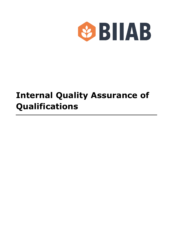

# **Internal Quality Assurance of Qualifications**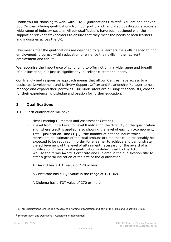Thank you for choosing to work with BIIAB Qualifications Limited<sup>[1](#page-1-0)</sup>. You are one of over 300 Centres offering qualifications from our portfolio of regulated qualifications across a wide range of industry sectors. All our qualifications have been designed with the support of relevant stakeholders to ensure that they meet the needs of both learners and industries across the UK.

This means that the qualifications are designed to give learners the skills needed to find employment, progress within education or enhance their skills in their current employment and for life.

We recognise the importance of continuing to offer not only a wide range and breadth of qualifications, but just as significantly, excellent customer support.

Our friendly and responsive approach means that all our Centres have access to a dedicated Development and Delivery Support Officer and Relationship Manager to help manage and expand their portfolios. Our Moderators are all subject specialists, chosen for their experience, knowledge and passion for further education.

# **1 Qualifications**

1.1 Each qualification will have:

- clear Learning Outcomes and Assessment Criteria;
- a level from Entry Level to Level 8 indicating the difficulty of the qualification and, where credit is applied, also showing the level of each unit/component;
- Total Qualification Time (TQT): 'the number of notional hours which represents an estimate of the total amount of time that could reasonably be expected to be required, in order for a learner to achieve and demonstrate the achievement of the level of attainment necessary for the award of a qualification.[2](#page-1-1) The size of a qualification is determined by the TQT.
- We use the terms Award, Certificate and Diploma in the qualification title to offer a general indication of the size of the qualification.

An Award has a TQT value of 120 or less.

A Certificate has a TQT value in the range of 121-369.

A Diploma has a TQT value of 370 or more.

<span id="page-1-0"></span><sup>&</sup>lt;sup>1</sup> BIIAB Qualifications Limited is a recognised awarding organisation and part of the Skills and Education Group.

<span id="page-1-1"></span><sup>2</sup> Interpretation and Definitions – Conditions of Recognition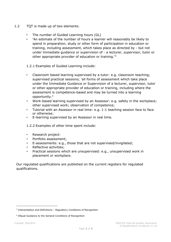- 1.2 TQT is made up of two elements:
	- The number of Guided Learning hours (GL)
	- 'An estimate of the number of hours a learner will reasonably be likely to spend in preparation, study or other form of participation in education or training, including assessment, which takes place as directed by - but not under immediate guidance or supervision of - a lecturer, supervisor, tutor or other appropriate provider of education or training.'[3](#page-2-0)
	- 1.2.1 Examples of Guided Learning include:
	- Classroom based learning supervised by a tutor: e.g. classroom teaching; supervised practical sessions; 'all forms of assessment which take place under the Immediate Guidance or Supervision of a lecturer, supervisor, tutor or other appropriate provider of education or training, including where the assessment is competence-based and may be turned into a learning opportunity.[4](#page-2-1)
	- Work-based learning supervised by an Assessor: e.g. safety in the workplace; other supervised work; observation of competence;
	- Tutorial with an Assessor in real time: e.g. 1:1 teaching session face to face or otherwise;
	- E-learning supervised by an Assessor in real time.

1.2.2 Examples of other time spent include:

- Research project:
- Portfolio assessment;
- E-assessments: e.g., those that are not supervised/invigilated;
- Reflective activities;
- Practical sessions which are unsupervised: e.g., unsupervised work in placement or workplace.

Our regulated qualifications are published on the current registers for regulated qualifications.

<span id="page-2-0"></span><sup>3</sup> Interpretation and Definitions – Regulatory Conditions of Recognition

<span id="page-2-1"></span><sup>4</sup> Ofqual Guidance to the General Conditions of Recognition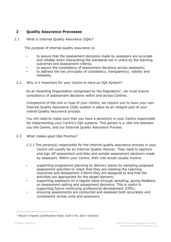# **2 Quality Assurance Processes**

#### 2.1 What is Internal Quality Assurance (IQA)?

The purpose of internal quality assurance is:

- to assure that the assessment decisions made by assessors are accurate and reliable when interpreting the standards set in unit/s by the learning outcomes and assessment criteria;
- to assure the consistency of assessment decisions across assessors:
- to address the key principles of consistency, transparency, validity and reliability.
- 2.2 Why is it important for your Centre to have an IQA System?

As an Awarding Organisation recognised by the Regulators<sup>[5](#page-3-0)</sup>, we must ensure consistency of assessment decisions within and across Centres.

Irrespective of the size or type of your Centre, we require you to have your own Internal Quality Assurance (IQA) system in place as an integral part of your overall Quality Assurance process.

You will need to make sure that you have a person(s) in your Centre responsible for implementing your Centre's IQA systems. This person is a vital link between you the Centre, and our External Quality Assurance Process.

- 2.3 What makes good IQA Practice?
	- 2.3.1 The person(s) responsible for the internal quality assurance process in your Centre will usually be an Internal Quality Assurer. They need to approve and sign off assessment activities and sample assessment decisions made by assessors. Within your Centre, their role would usually involve:
	- supporting programme planning by delivery teams by sampling proposed assessment activities to check that they are meeting the Learning Outcomes and Assessment Criteria they are designed to and that the activities are appropriate for the target learners;
	- supporting assessors on a regular basis through sampling, giving feedback on assessment setting and assessment decisions. This is useful in supporting future continuing professional development (CPD);
	- ensuring assessments are conducted and assessed both accurately and consistently across units and assessors;

<span id="page-3-0"></span><sup>5</sup> Ofqual in England; Qualifications Wales; CCEA in NI, SQA in Scotland.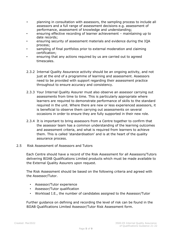- planning in consultation with assessors, the sampling process to include all assessors and a full range of assessment decisions e.g. assessment of performance, assessment of knowledge and understanding;
- ensuring effective recording of learner achievement maintaining up to date records;
- ensuring security of assessment materials and evidence during the IQA process;
- sampling of final portfolios prior to external moderation and claiming certification;
- ensuring that any actions required by us are carried out to agreed timescales.
- 2.3.2 Internal Quality Assurance activity should be an ongoing activity, and not just at the end of a programme of learning and assessment. Assessors need to be provided with support regarding their assessment practice throughout to ensure accuracy and consistency.
- 2.3.3 Your Internal Quality Assurer must also observe an assessor carrying out assessments from time to time. This is particularly appropriate where learners are required to demonstrate performance of skills to the standard required in the unit. Where there are new or less experienced assessors, it is beneficial to observe them carrying out assessments on several occasions in order to ensure they are fully supported in their new role.
- 2.3.4 It is important to bring assessors from a Centre together to confirm that the assessor team has a common understanding of the learning outcomes and assessment criteria, and what is required from learners to achieve them. This is called 'standardisation' and is at the heart of the quality assurance process.
- 2.5 Risk Assessment of Assessors and Tutors

Each Centre should have a record of the Risk Assessment for all Assessors/Tutors delivering BIIAB Qualifications Limited products which must be made available to the External Quality Assurers upon request.

The Risk Assessment should be based on the following criteria and agreed with the Assessor/Tutor.

- Assessor/Tutor experience
- Assessor/Tutor qualification
- Workload I.E., the number of candidates assigned to the Assessor/Tutor

Further guidance on defining and recording the level of risk can be found in the BIIAB Qualifications Limited Assessor/Tutor Risk Assessment form.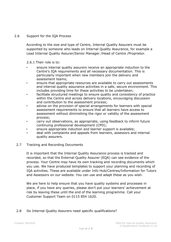### 2.6 Support for the IQA Process

According to the size and type of Centre, Internal Quality Assurers must be supported by someone who leads on Internal Quality Assurance, for example a Lead Internal Quality Assurer/Senior Manager /Head of Centre /Proprietor.

2.6.1 Their role is to:

- ensure internal quality assurers receive an appropriate induction to the Centre's IQA requirements and all necessary documentation. This is particularly important when new members join the delivery and assessment teams;
- ensure that appropriate resources are available to carry out assessments and internal quality assurance activities in a safe, secure environment. This includes providing time for these activities to be undertaken;
- facilitate structured meetings to ensure quality and consistency of practice within the Centre and across delivery locations, encouraging discussion and contribution to the assessment process;
- advise on the provision of special arrangements for learners with special assessment requirements to ensure that all learners have access to assessment without diminishing the rigor or validity of the assessment process;
- carry out observations, as appropriate, using feedback to inform future continuing professional development (CPD);
- ensure appropriate induction and learner support is available;
- deal with complaints and appeals from learners, assessors and internal quality assurers.

#### 2.7 Tracking and Recording Documents

It is important that the Internal Quality Assurance process is tracked and recorded, so that the External Quality Assurer (EQA) can see evidence of the process. Your Centre may have its own tracking and recording documents which you use. We have produced templates to support your planning and recording of IQA activities. These are available under Info Hub/Centres/Information for Tutors and Assessors on our website. You can use and adapt these as you wish.

We are here to help ensure that you have quality systems and processes in place, if you have any queries, please don't put your learners' achievement at risk by leaving these until the end of the learning programme. Call your Customer Support Team on 0115 854 1620.

# 2.8 Do Internal Quality Assurers need specific qualifications?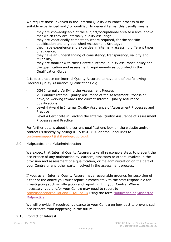We require those involved in the Internal Quality Assurance process to be suitably experienced and / or qualified. In general terms, this usually means:

- they are knowledgeable of the subject/occupational area to a level above that which they are internally quality assuring;
- they are vocationally competent, where required, for the specific qualification and any published Assessment Strategy;
- they have experience and expertise in internally assessing different types of evidence;
- they have an understanding of consistency, transparency, validity and reliability;
- they are familiar with their Centre's internal quality assurance policy and the qualification and assessment requirements as published in the Qualification Guide.

It is best practice for Internal Quality Assurers to have one of the following Internal Quality Assurance Qualifications e.g.

- D34 Internally Verifying the Assessment Process
- V1 Conduct Internal Quality Assurance of the Assessment Process or have/be working towards the current Internal Quality Assurance qualifications.
- Level 4 Award in Internal Quality Assurance of Assessment Processes and Practice
- Level 4 Certificate in Leading the Internal Quality Assurance of Assessment Processes and Practice

For further details about the current qualifications look on the website and/or contact us directly by calling 0115 854 1620 or email enquiries to customersupport@skillsedugroup.co.uk

#### 2.9 Malpractice and Maladministration

We expect that Internal Quality Assurers take all reasonable steps to prevent the occurrence of any malpractice by learners, assessors or others involved in the provision and assessment of a qualification, or maladministration on the part of your Centre or any other party involved in the assessment process.

If you, as an Internal Quality Assurer have reasonable grounds for suspicion of either of the above you must report it immediately to the staff responsible for investigating such an allegation and reporting it in your Centre. Where necessary, you and/or your Centre may need to report to complianceandregulation@BIIAB.co.uk using the form [Notification of](https://www.abcawards.co.uk/info-hub/) [Suspected](https://www.abcawards.co.uk/info-hub/)  **[Malpractice](https://www.abcawards.co.uk/info-hub/)** 

We will provide, if required, guidance to your Centre on how best to prevent such occurrences from happening in the future.

#### 2.10 Conflict of Interest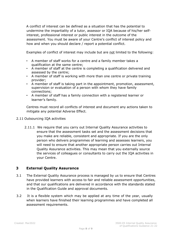A conflict of interest can be defined as a situation that has the potential to undermine the impartiality of a tutor, assessor or IQA because of his/her selfinterest, professional interest or public interest in the outcome of the assessment. You must be aware of your Centre's conflict of interest policy and how and when you should declare / report a potential conflict.

Examples of conflict of interest may include but are not limited to the following:

- A member of staff works for a centre and a family member takes a qualification at the same centre;
- A member of staff at the centre is completing a qualification delivered and assessed by the centre;
- A member of staff is working with more than one centre or private training provider;
- A member of staff is taking part in the appointment, promotion, assessment, supervision or evaluation of a person with whom they have family connections;
- A member of staff has a family connection with a registered learner or learner's family.

Centres must record all conflicts of interest and document any actions taken to mitigate any potential Adverse Effect.

- 2.11 Outsourcing IQA activities
	- 2.11.1 We require that you carry out Internal Quality Assurance activities to ensure that the assessment tasks set and the assessment decisions that you make are reliable, consistent and appropriate. If you are the only person who delivers programmes of learning and assesses learners, you will need to ensure that another appropriate person carries out Internal Quality Assurance activities. This may mean that you externally source the services of colleagues or consultants to carry out the IQA activities in your Centre.

# **3 External Quality Assurance**

- 3.1 The External Quality Assurance process is managed by us to ensure that Centres have provided learners with access to fair and reliable assessment opportunities, and that our qualifications are delivered in accordance with the standards stated in the Qualification Guide and approval documents.
- 3.2 It is a flexible system which may be applied at any time of the year, usually when learners have finished their learning programmes and have completed all assessment requirements.